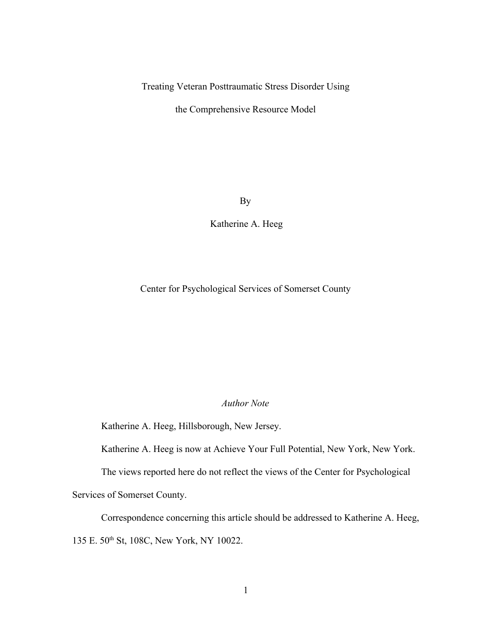Treating Veteran Posttraumatic Stress Disorder Using

the Comprehensive Resource Model

By

Katherine A. Heeg

Center for Psychological Services of Somerset County

## *Author Note*

Katherine A. Heeg, Hillsborough, New Jersey.

Katherine A. Heeg is now at Achieve Your Full Potential, New York, New York.

The views reported here do not reflect the views of the Center for Psychological

Services of Somerset County.

Correspondence concerning this article should be addressed to Katherine A. Heeg, 135 E. 50th St, 108C, New York, NY 10022.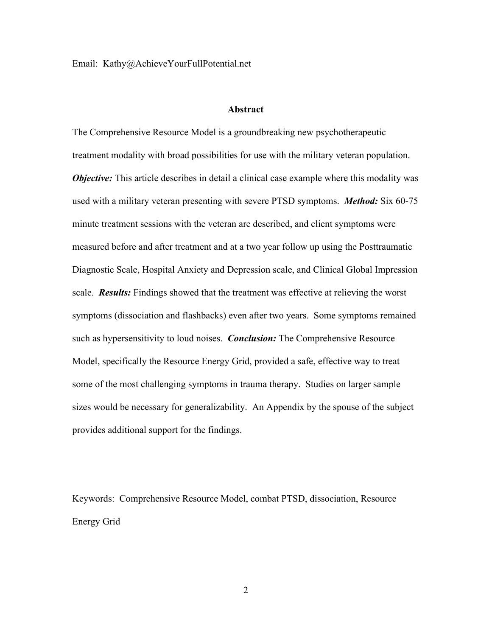Email: Kathy@AchieveYourFullPotential.net

#### **Abstract**

The Comprehensive Resource Model is a groundbreaking new psychotherapeutic treatment modality with broad possibilities for use with the military veteran population. *Objective:* This article describes in detail a clinical case example where this modality was used with a military veteran presenting with severe PTSD symptoms. *Method:* Six 60-75 minute treatment sessions with the veteran are described, and client symptoms were measured before and after treatment and at a two year follow up using the Posttraumatic Diagnostic Scale, Hospital Anxiety and Depression scale, and Clinical Global Impression scale. *Results:* Findings showed that the treatment was effective at relieving the worst symptoms (dissociation and flashbacks) even after two years. Some symptoms remained such as hypersensitivity to loud noises. *Conclusion:* The Comprehensive Resource Model, specifically the Resource Energy Grid, provided a safe, effective way to treat some of the most challenging symptoms in trauma therapy. Studies on larger sample sizes would be necessary for generalizability. An Appendix by the spouse of the subject provides additional support for the findings.

Keywords: Comprehensive Resource Model, combat PTSD, dissociation, Resource Energy Grid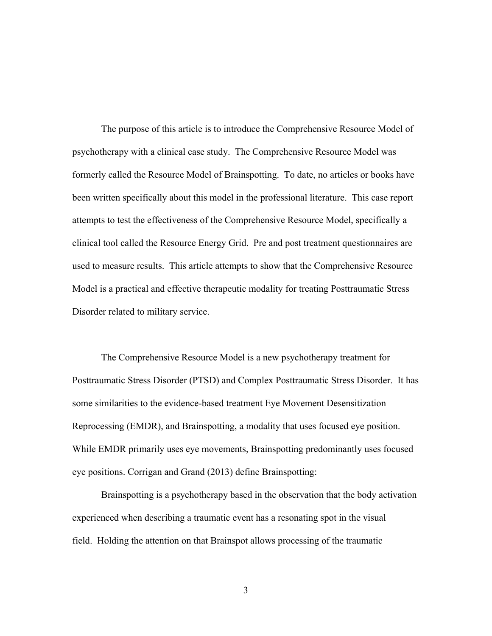The purpose of this article is to introduce the Comprehensive Resource Model of psychotherapy with a clinical case study. The Comprehensive Resource Model was formerly called the Resource Model of Brainspotting. To date, no articles or books have been written specifically about this model in the professional literature. This case report attempts to test the effectiveness of the Comprehensive Resource Model, specifically a clinical tool called the Resource Energy Grid. Pre and post treatment questionnaires are used to measure results. This article attempts to show that the Comprehensive Resource Model is a practical and effective therapeutic modality for treating Posttraumatic Stress Disorder related to military service.

The Comprehensive Resource Model is a new psychotherapy treatment for Posttraumatic Stress Disorder (PTSD) and Complex Posttraumatic Stress Disorder. It has some similarities to the evidence-based treatment Eye Movement Desensitization Reprocessing (EMDR), and Brainspotting, a modality that uses focused eye position. While EMDR primarily uses eye movements, Brainspotting predominantly uses focused eye positions. Corrigan and Grand (2013) define Brainspotting:

Brainspotting is a psychotherapy based in the observation that the body activation experienced when describing a traumatic event has a resonating spot in the visual field. Holding the attention on that Brainspot allows processing of the traumatic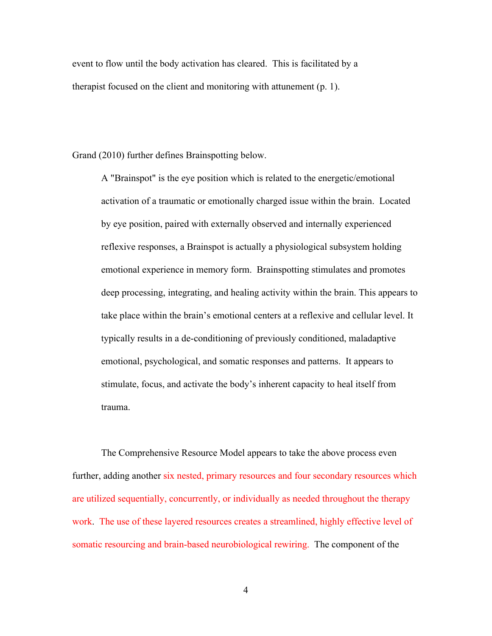event to flow until the body activation has cleared. This is facilitated by a therapist focused on the client and monitoring with attunement (p. 1).

Grand (2010) further defines Brainspotting below.

A "Brainspot" is the eye position which is related to the energetic/emotional activation of a traumatic or emotionally charged issue within the brain. Located by eye position, paired with externally observed and internally experienced reflexive responses, a Brainspot is actually a physiological subsystem holding emotional experience in memory form. Brainspotting stimulates and promotes deep processing, integrating, and healing activity within the brain. This appears to take place within the brain's emotional centers at a reflexive and cellular level. It typically results in a de-conditioning of previously conditioned, maladaptive emotional, psychological, and somatic responses and patterns. It appears to stimulate, focus, and activate the body's inherent capacity to heal itself from trauma.

The Comprehensive Resource Model appears to take the above process even further, adding another six nested, primary resources and four secondary resources which are utilized sequentially, concurrently, or individually as needed throughout the therapy work. The use of these layered resources creates a streamlined, highly effective level of somatic resourcing and brain-based neurobiological rewiring. The component of the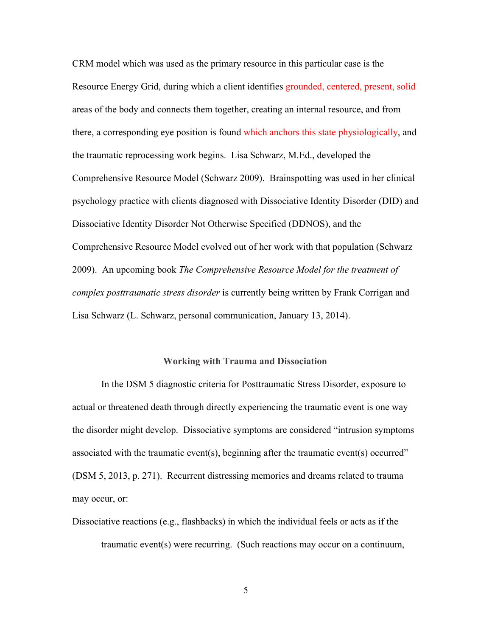CRM model which was used as the primary resource in this particular case is the Resource Energy Grid, during which a client identifies grounded, centered, present, solid areas of the body and connects them together, creating an internal resource, and from there, a corresponding eye position is found which anchors this state physiologically, and the traumatic reprocessing work begins. Lisa Schwarz, M.Ed., developed the Comprehensive Resource Model (Schwarz 2009). Brainspotting was used in her clinical psychology practice with clients diagnosed with Dissociative Identity Disorder (DID) and Dissociative Identity Disorder Not Otherwise Specified (DDNOS), and the Comprehensive Resource Model evolved out of her work with that population (Schwarz 2009). An upcoming book *The Comprehensive Resource Model for the treatment of complex posttraumatic stress disorder* is currently being written by Frank Corrigan and Lisa Schwarz (L. Schwarz, personal communication, January 13, 2014).

#### **Working with Trauma and Dissociation**

In the DSM 5 diagnostic criteria for Posttraumatic Stress Disorder, exposure to actual or threatened death through directly experiencing the traumatic event is one way the disorder might develop. Dissociative symptoms are considered "intrusion symptoms associated with the traumatic event(s), beginning after the traumatic event(s) occurred" (DSM 5, 2013, p. 271). Recurrent distressing memories and dreams related to trauma may occur, or:

Dissociative reactions (e.g., flashbacks) in which the individual feels or acts as if the traumatic event(s) were recurring. (Such reactions may occur on a continuum,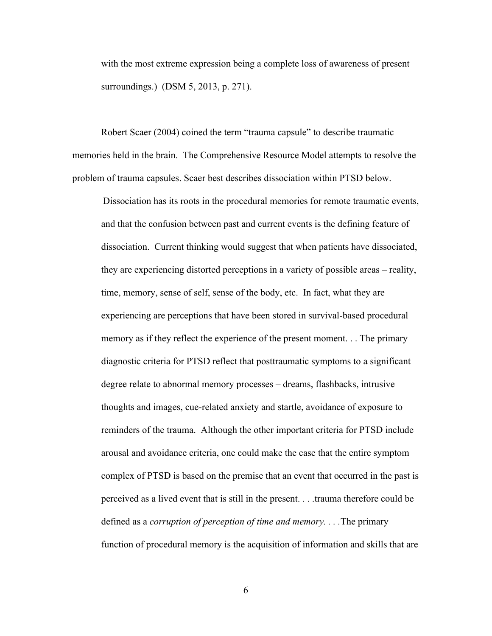with the most extreme expression being a complete loss of awareness of present surroundings.) (DSM 5, 2013, p. 271).

Robert Scaer (2004) coined the term "trauma capsule" to describe traumatic memories held in the brain. The Comprehensive Resource Model attempts to resolve the problem of trauma capsules. Scaer best describes dissociation within PTSD below.

Dissociation has its roots in the procedural memories for remote traumatic events, and that the confusion between past and current events is the defining feature of dissociation. Current thinking would suggest that when patients have dissociated, they are experiencing distorted perceptions in a variety of possible areas – reality, time, memory, sense of self, sense of the body, etc. In fact, what they are experiencing are perceptions that have been stored in survival-based procedural memory as if they reflect the experience of the present moment. . . The primary diagnostic criteria for PTSD reflect that posttraumatic symptoms to a significant degree relate to abnormal memory processes – dreams, flashbacks, intrusive thoughts and images, cue-related anxiety and startle, avoidance of exposure to reminders of the trauma. Although the other important criteria for PTSD include arousal and avoidance criteria, one could make the case that the entire symptom complex of PTSD is based on the premise that an event that occurred in the past is perceived as a lived event that is still in the present. . . .trauma therefore could be defined as a *corruption of perception of time and memory. . . .*The primary function of procedural memory is the acquisition of information and skills that are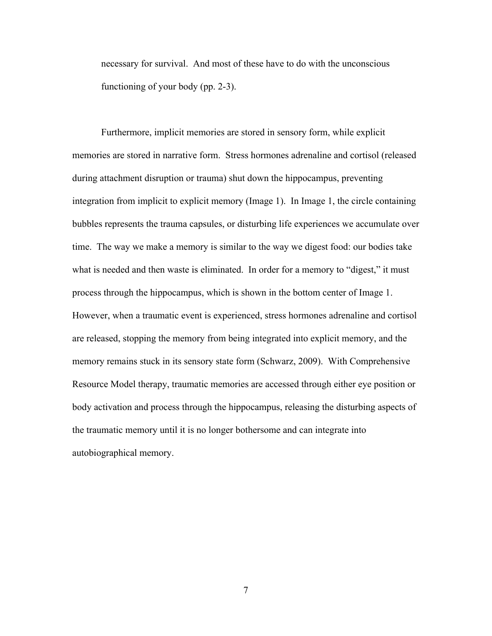necessary for survival. And most of these have to do with the unconscious functioning of your body (pp. 2-3).

Furthermore, implicit memories are stored in sensory form, while explicit memories are stored in narrative form. Stress hormones adrenaline and cortisol (released during attachment disruption or trauma) shut down the hippocampus, preventing integration from implicit to explicit memory (Image 1). In Image 1, the circle containing bubbles represents the trauma capsules, or disturbing life experiences we accumulate over time. The way we make a memory is similar to the way we digest food: our bodies take what is needed and then waste is eliminated. In order for a memory to "digest," it must process through the hippocampus, which is shown in the bottom center of Image 1. However, when a traumatic event is experienced, stress hormones adrenaline and cortisol are released, stopping the memory from being integrated into explicit memory, and the memory remains stuck in its sensory state form (Schwarz, 2009). With Comprehensive Resource Model therapy, traumatic memories are accessed through either eye position or body activation and process through the hippocampus, releasing the disturbing aspects of the traumatic memory until it is no longer bothersome and can integrate into autobiographical memory.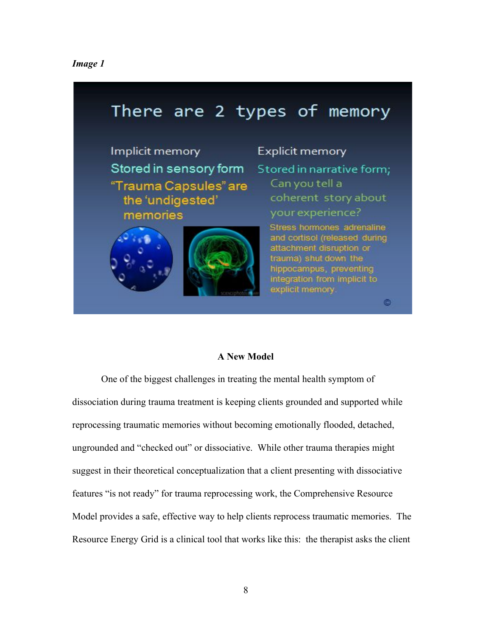## *Image 1*



## **A New Model**

One of the biggest challenges in treating the mental health symptom of dissociation during trauma treatment is keeping clients grounded and supported while reprocessing traumatic memories without becoming emotionally flooded, detached, ungrounded and "checked out" or dissociative. While other trauma therapies might suggest in their theoretical conceptualization that a client presenting with dissociative features "is not ready" for trauma reprocessing work, the Comprehensive Resource Model provides a safe, effective way to help clients reprocess traumatic memories. The Resource Energy Grid is a clinical tool that works like this: the therapist asks the client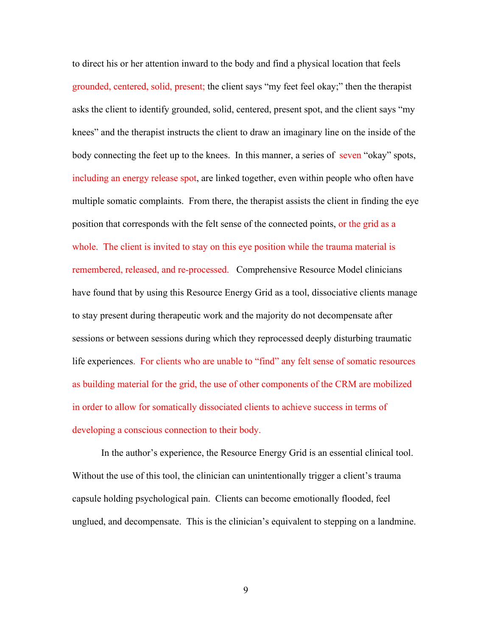to direct his or her attention inward to the body and find a physical location that feels grounded, centered, solid, present; the client says "my feet feel okay;" then the therapist asks the client to identify grounded, solid, centered, present spot, and the client says "my knees" and the therapist instructs the client to draw an imaginary line on the inside of the body connecting the feet up to the knees. In this manner, a series of seven "okay" spots, including an energy release spot, are linked together, even within people who often have multiple somatic complaints. From there, the therapist assists the client in finding the eye position that corresponds with the felt sense of the connected points, or the grid as a whole. The client is invited to stay on this eye position while the trauma material is remembered, released, and re-processed. Comprehensive Resource Model clinicians have found that by using this Resource Energy Grid as a tool, dissociative clients manage to stay present during therapeutic work and the majority do not decompensate after sessions or between sessions during which they reprocessed deeply disturbing traumatic life experiences. For clients who are unable to "find" any felt sense of somatic resources as building material for the grid, the use of other components of the CRM are mobilized in order to allow for somatically dissociated clients to achieve success in terms of developing a conscious connection to their body.

In the author's experience, the Resource Energy Grid is an essential clinical tool. Without the use of this tool, the clinician can unintentionally trigger a client's trauma capsule holding psychological pain. Clients can become emotionally flooded, feel unglued, and decompensate. This is the clinician's equivalent to stepping on a landmine.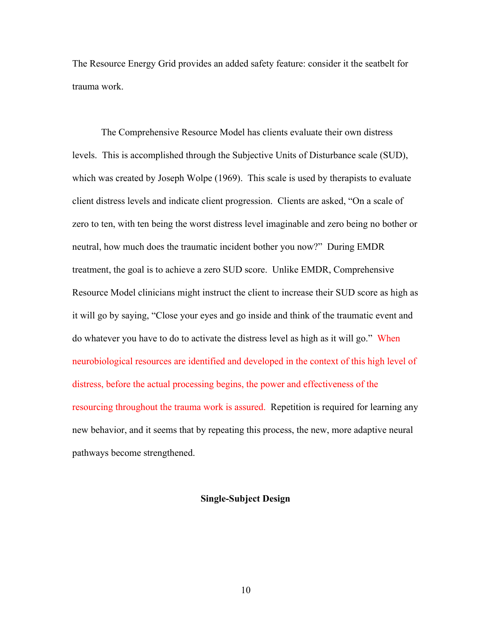The Resource Energy Grid provides an added safety feature: consider it the seatbelt for trauma work.

The Comprehensive Resource Model has clients evaluate their own distress levels. This is accomplished through the Subjective Units of Disturbance scale (SUD), which was created by Joseph Wolpe (1969). This scale is used by therapists to evaluate client distress levels and indicate client progression. Clients are asked, "On a scale of zero to ten, with ten being the worst distress level imaginable and zero being no bother or neutral, how much does the traumatic incident bother you now?" During EMDR treatment, the goal is to achieve a zero SUD score. Unlike EMDR, Comprehensive Resource Model clinicians might instruct the client to increase their SUD score as high as it will go by saying, "Close your eyes and go inside and think of the traumatic event and do whatever you have to do to activate the distress level as high as it will go." When neurobiological resources are identified and developed in the context of this high level of distress, before the actual processing begins, the power and effectiveness of the resourcing throughout the trauma work is assured. Repetition is required for learning any new behavior, and it seems that by repeating this process, the new, more adaptive neural pathways become strengthened.

## **Single-Subject Design**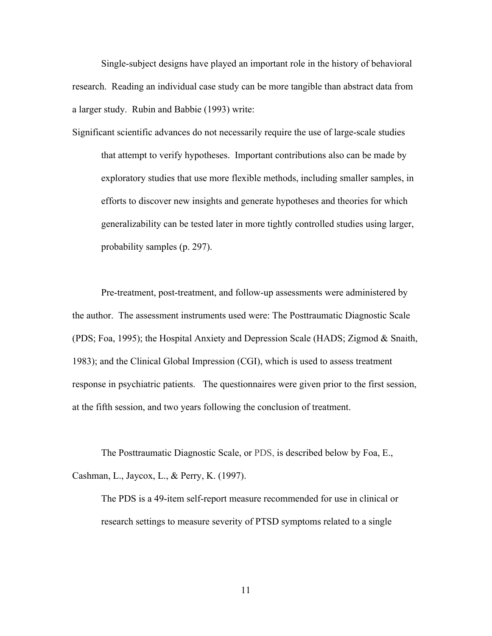Single-subject designs have played an important role in the history of behavioral research. Reading an individual case study can be more tangible than abstract data from a larger study. Rubin and Babbie (1993) write:

Significant scientific advances do not necessarily require the use of large-scale studies that attempt to verify hypotheses. Important contributions also can be made by exploratory studies that use more flexible methods, including smaller samples, in efforts to discover new insights and generate hypotheses and theories for which generalizability can be tested later in more tightly controlled studies using larger, probability samples (p. 297).

Pre-treatment, post-treatment, and follow-up assessments were administered by the author. The assessment instruments used were: The Posttraumatic Diagnostic Scale (PDS; Foa, 1995); the Hospital Anxiety and Depression Scale (HADS; Zigmod & Snaith, 1983); and the Clinical Global Impression (CGI), which is used to assess treatment response in psychiatric patients. The questionnaires were given prior to the first session, at the fifth session, and two years following the conclusion of treatment.

The Posttraumatic Diagnostic Scale, or PDS, is described below by Foa, E., Cashman, L., Jaycox, L., & Perry, K. (1997).

The PDS is a 49-item self-report measure recommended for use in clinical or research settings to measure severity of PTSD symptoms related to a single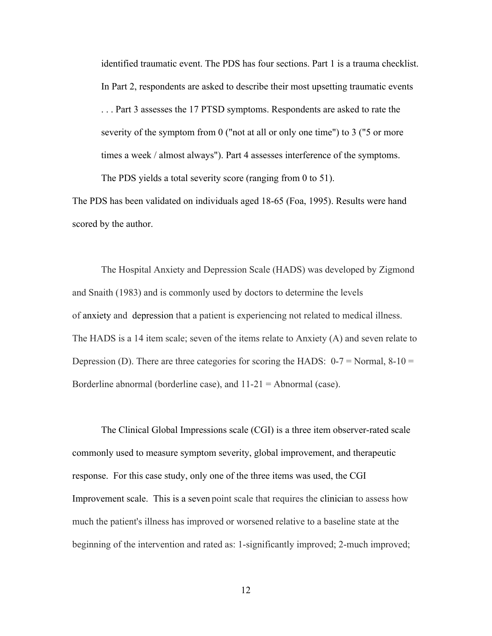identified traumatic event. The PDS has four sections. Part 1 is a trauma checklist. In Part 2, respondents are asked to describe their most upsetting traumatic events . . . Part 3 assesses the 17 PTSD symptoms. Respondents are asked to rate the severity of the symptom from 0 ("not at all or only one time") to 3 ("5 or more times a week / almost always"). Part 4 assesses interference of the symptoms. The PDS yields a total severity score (ranging from 0 to 51).

The PDS has been validated on individuals aged 18-65 (Foa, 1995). Results were hand

scored by the author.

The Hospital Anxiety and Depression Scale (HADS) was developed by Zigmond and Snaith (1983) and is commonly used by doctors to determine the levels of [anxiety](http://en.wikipedia.org/wiki/Anxiety) and depression that a patient is experiencing not related to medical illness. The HADS is a 14 item scale; seven of the items relate to Anxiety (A) and seven relate to Depression (D). There are three categories for scoring the HADS:  $0-7 =$  Normal,  $8-10 =$ Borderline abnormal (borderline case), and 11-21 = Abnormal (case).

The Clinical Global Impressions scale (CGI) is a three item observer-rated scale commonly used to measure symptom severity, global improvement, and therapeutic response. For this case study, only one of the three items was used, the CGI Improvement scale. This is a seven point scale that requires the clinician to assess how much the patient's illness has improved or worsened relative to a baseline state at the beginning of the intervention and rated as: 1-significantly improved; 2-much improved;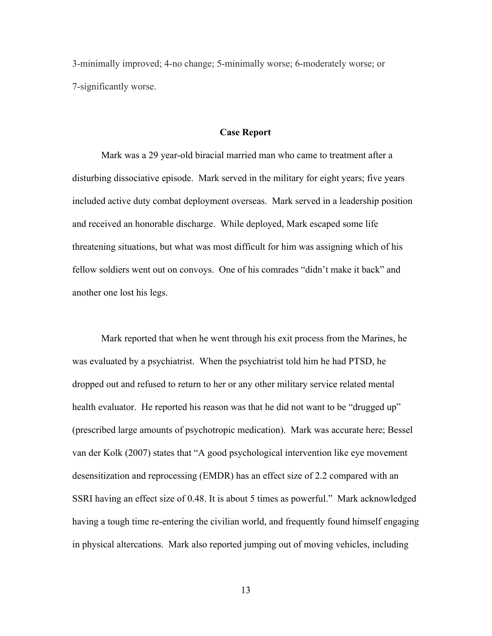3-minimally improved; 4-no change; 5-minimally worse; 6-moderately worse; or 7-significantly worse.

#### **Case Report**

Mark was a 29 year-old biracial married man who came to treatment after a disturbing dissociative episode. Mark served in the military for eight years; five years included active duty combat deployment overseas. Mark served in a leadership position and received an honorable discharge. While deployed, Mark escaped some life threatening situations, but what was most difficult for him was assigning which of his fellow soldiers went out on convoys. One of his comrades "didn't make it back" and another one lost his legs.

Mark reported that when he went through his exit process from the Marines, he was evaluated by a psychiatrist. When the psychiatrist told him he had PTSD, he dropped out and refused to return to her or any other military service related mental health evaluator. He reported his reason was that he did not want to be "drugged up" (prescribed large amounts of psychotropic medication). Mark was accurate here; Bessel van der Kolk (2007) states that "A good psychological intervention like eye movement desensitization and reprocessing (EMDR) has an effect size of 2.2 compared with an SSRI having an effect size of 0.48. It is about 5 times as powerful." Mark acknowledged having a tough time re-entering the civilian world, and frequently found himself engaging in physical altercations. Mark also reported jumping out of moving vehicles, including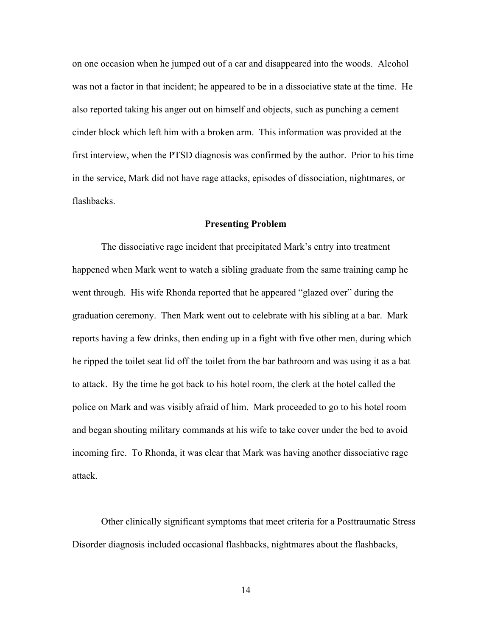on one occasion when he jumped out of a car and disappeared into the woods. Alcohol was not a factor in that incident; he appeared to be in a dissociative state at the time. He also reported taking his anger out on himself and objects, such as punching a cement cinder block which left him with a broken arm. This information was provided at the first interview, when the PTSD diagnosis was confirmed by the author. Prior to his time in the service, Mark did not have rage attacks, episodes of dissociation, nightmares, or flashbacks.

#### **Presenting Problem**

The dissociative rage incident that precipitated Mark's entry into treatment happened when Mark went to watch a sibling graduate from the same training camp he went through. His wife Rhonda reported that he appeared "glazed over" during the graduation ceremony. Then Mark went out to celebrate with his sibling at a bar. Mark reports having a few drinks, then ending up in a fight with five other men, during which he ripped the toilet seat lid off the toilet from the bar bathroom and was using it as a bat to attack. By the time he got back to his hotel room, the clerk at the hotel called the police on Mark and was visibly afraid of him. Mark proceeded to go to his hotel room and began shouting military commands at his wife to take cover under the bed to avoid incoming fire. To Rhonda, it was clear that Mark was having another dissociative rage attack.

Other clinically significant symptoms that meet criteria for a Posttraumatic Stress Disorder diagnosis included occasional flashbacks, nightmares about the flashbacks,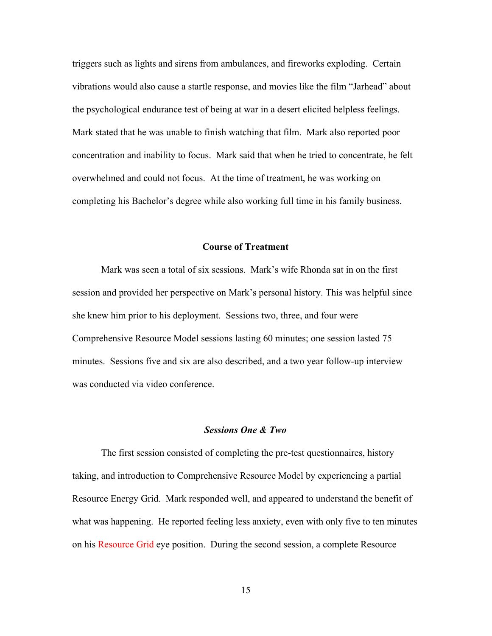triggers such as lights and sirens from ambulances, and fireworks exploding. Certain vibrations would also cause a startle response, and movies like the film "Jarhead" about the psychological endurance test of being at war in a desert elicited helpless feelings. Mark stated that he was unable to finish watching that film. Mark also reported poor concentration and inability to focus. Mark said that when he tried to concentrate, he felt overwhelmed and could not focus. At the time of treatment, he was working on completing his Bachelor's degree while also working full time in his family business.

#### **Course of Treatment**

Mark was seen a total of six sessions. Mark's wife Rhonda sat in on the first session and provided her perspective on Mark's personal history. This was helpful since she knew him prior to his deployment. Sessions two, three, and four were Comprehensive Resource Model sessions lasting 60 minutes; one session lasted 75 minutes. Sessions five and six are also described, and a two year follow-up interview was conducted via video conference.

## *Sessions One & Two*

The first session consisted of completing the pre-test questionnaires, history taking, and introduction to Comprehensive Resource Model by experiencing a partial Resource Energy Grid. Mark responded well, and appeared to understand the benefit of what was happening. He reported feeling less anxiety, even with only five to ten minutes on his Resource Grid eye position. During the second session, a complete Resource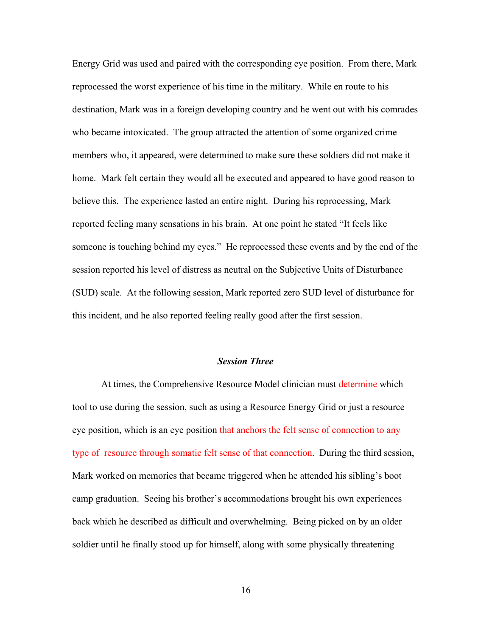Energy Grid was used and paired with the corresponding eye position. From there, Mark reprocessed the worst experience of his time in the military. While en route to his destination, Mark was in a foreign developing country and he went out with his comrades who became intoxicated. The group attracted the attention of some organized crime members who, it appeared, were determined to make sure these soldiers did not make it home. Mark felt certain they would all be executed and appeared to have good reason to believe this. The experience lasted an entire night. During his reprocessing, Mark reported feeling many sensations in his brain. At one point he stated "It feels like someone is touching behind my eyes." He reprocessed these events and by the end of the session reported his level of distress as neutral on the Subjective Units of Disturbance (SUD) scale. At the following session, Mark reported zero SUD level of disturbance for this incident, and he also reported feeling really good after the first session.

#### *Session Three*

At times, the Comprehensive Resource Model clinician must determine which tool to use during the session, such as using a Resource Energy Grid or just a resource eye position, which is an eye position that anchors the felt sense of connection to any type of resource through somatic felt sense of that connection. During the third session, Mark worked on memories that became triggered when he attended his sibling's boot camp graduation. Seeing his brother's accommodations brought his own experiences back which he described as difficult and overwhelming. Being picked on by an older soldier until he finally stood up for himself, along with some physically threatening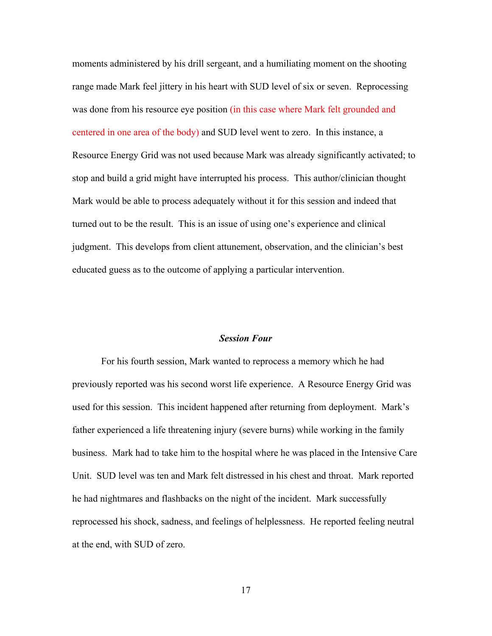moments administered by his drill sergeant, and a humiliating moment on the shooting range made Mark feel jittery in his heart with SUD level of six or seven. Reprocessing was done from his resource eye position (in this case where Mark felt grounded and centered in one area of the body) and SUD level went to zero. In this instance, a Resource Energy Grid was not used because Mark was already significantly activated; to stop and build a grid might have interrupted his process. This author/clinician thought Mark would be able to process adequately without it for this session and indeed that turned out to be the result. This is an issue of using one's experience and clinical judgment. This develops from client attunement, observation, and the clinician's best educated guess as to the outcome of applying a particular intervention.

#### *Session Four*

For his fourth session, Mark wanted to reprocess a memory which he had previously reported was his second worst life experience. A Resource Energy Grid was used for this session. This incident happened after returning from deployment. Mark's father experienced a life threatening injury (severe burns) while working in the family business. Mark had to take him to the hospital where he was placed in the Intensive Care Unit. SUD level was ten and Mark felt distressed in his chest and throat. Mark reported he had nightmares and flashbacks on the night of the incident. Mark successfully reprocessed his shock, sadness, and feelings of helplessness. He reported feeling neutral at the end, with SUD of zero.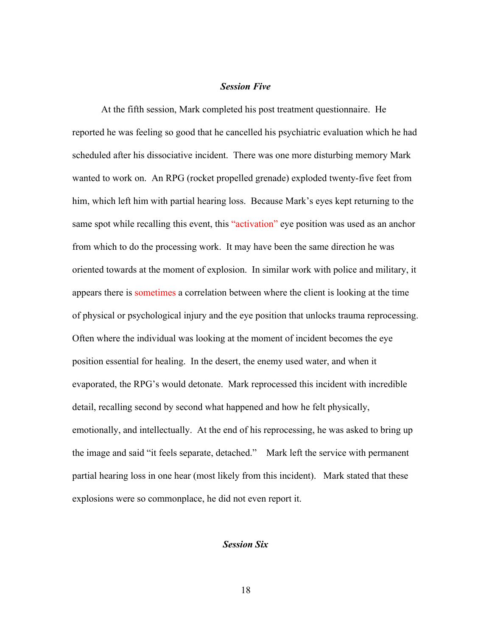#### *Session Five*

At the fifth session, Mark completed his post treatment questionnaire. He reported he was feeling so good that he cancelled his psychiatric evaluation which he had scheduled after his dissociative incident. There was one more disturbing memory Mark wanted to work on. An RPG (rocket propelled grenade) exploded twenty-five feet from him, which left him with partial hearing loss. Because Mark's eyes kept returning to the same spot while recalling this event, this "activation" eye position was used as an anchor from which to do the processing work. It may have been the same direction he was oriented towards at the moment of explosion. In similar work with police and military, it appears there is sometimes a correlation between where the client is looking at the time of physical or psychological injury and the eye position that unlocks trauma reprocessing. Often where the individual was looking at the moment of incident becomes the eye position essential for healing. In the desert, the enemy used water, and when it evaporated, the RPG's would detonate. Mark reprocessed this incident with incredible detail, recalling second by second what happened and how he felt physically, emotionally, and intellectually. At the end of his reprocessing, he was asked to bring up the image and said "it feels separate, detached." Mark left the service with permanent partial hearing loss in one hear (most likely from this incident). Mark stated that these explosions were so commonplace, he did not even report it.

## *Session Six*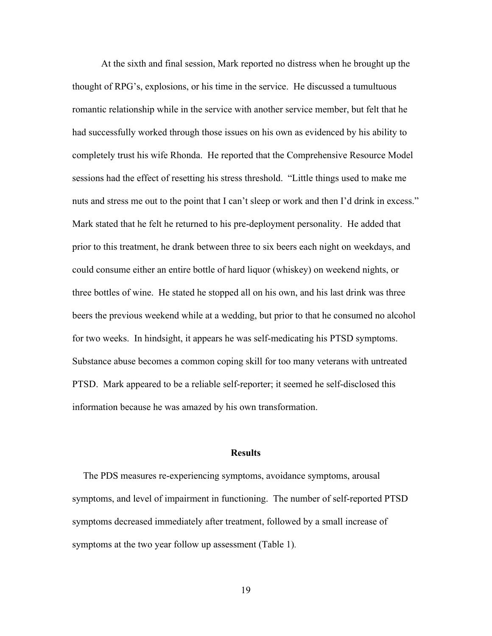At the sixth and final session, Mark reported no distress when he brought up the thought of RPG's, explosions, or his time in the service. He discussed a tumultuous romantic relationship while in the service with another service member, but felt that he had successfully worked through those issues on his own as evidenced by his ability to completely trust his wife Rhonda. He reported that the Comprehensive Resource Model sessions had the effect of resetting his stress threshold. "Little things used to make me nuts and stress me out to the point that I can't sleep or work and then I'd drink in excess." Mark stated that he felt he returned to his pre-deployment personality. He added that prior to this treatment, he drank between three to six beers each night on weekdays, and could consume either an entire bottle of hard liquor (whiskey) on weekend nights, or three bottles of wine. He stated he stopped all on his own, and his last drink was three beers the previous weekend while at a wedding, but prior to that he consumed no alcohol for two weeks. In hindsight, it appears he was self-medicating his PTSD symptoms. Substance abuse becomes a common coping skill for too many veterans with untreated PTSD. Mark appeared to be a reliable self-reporter; it seemed he self-disclosed this information because he was amazed by his own transformation.

#### **Results**

The PDS measures re-experiencing symptoms, avoidance symptoms, arousal symptoms, and level of impairment in functioning. The number of self-reported PTSD symptoms decreased immediately after treatment, followed by a small increase of symptoms at the two year follow up assessment (Table 1).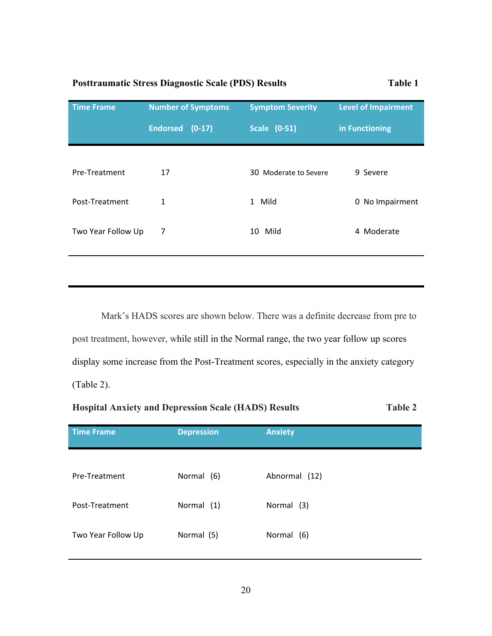# **Posttraumatic Stress Diagnostic Scale (PDS) Results Table 1**

| <b>Time Frame</b>  | <b>Number of Symptoms</b> | <b>Symptom Severity</b> | <b>Level of Impairment</b> |
|--------------------|---------------------------|-------------------------|----------------------------|
|                    | Endorsed (0-17)           | <b>Scale (0-51)</b>     | in Functioning             |
|                    |                           |                         |                            |
| Pre-Treatment      | 17                        | 30 Moderate to Severe   | 9 Severe                   |
| Post-Treatment     | 1                         | 1 Mild                  | 0 No Impairment            |
| Two Year Follow Up | 7                         | 10 Mild                 | 4 Moderate                 |
|                    |                           |                         |                            |

Mark's HADS scores are shown below. There was a definite decrease from pre to post treatment, however, while still in the Normal range, the two year follow up scores display some increase from the Post-Treatment scores, especially in the anxiety category (Table 2).

# **Hospital Anxiety and Depression Scale (HADS) Results Table 2**

| <b>Time Frame</b>  | <b>Depression</b> | <b>Anxiety</b> |
|--------------------|-------------------|----------------|
|                    |                   |                |
| Pre-Treatment      | Normal (6)        | Abnormal (12)  |
| Post-Treatment     | Normal (1)        | Normal (3)     |
|                    |                   |                |
| Two Year Follow Up | Normal (5)        | Normal (6)     |
|                    |                   |                |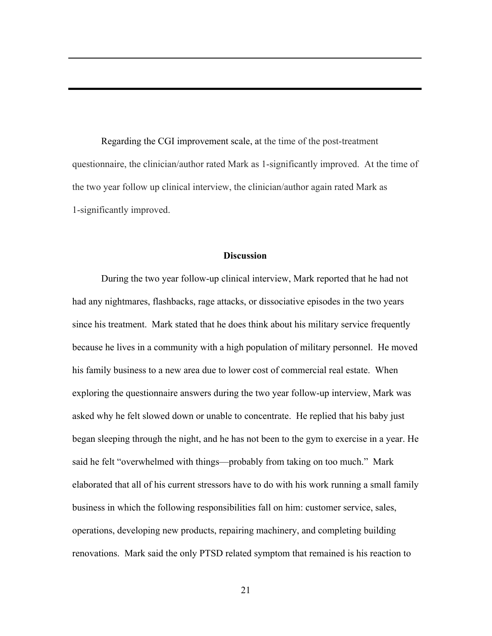Regarding the CGI improvement scale, at the time of the post-treatment questionnaire, the clinician/author rated Mark as 1-significantly improved. At the time of the two year follow up clinical interview, the clinician/author again rated Mark as 1-significantly improved.

#### **Discussion**

During the two year follow-up clinical interview, Mark reported that he had not had any nightmares, flashbacks, rage attacks, or dissociative episodes in the two years since his treatment. Mark stated that he does think about his military service frequently because he lives in a community with a high population of military personnel. He moved his family business to a new area due to lower cost of commercial real estate. When exploring the questionnaire answers during the two year follow-up interview, Mark was asked why he felt slowed down or unable to concentrate. He replied that his baby just began sleeping through the night, and he has not been to the gym to exercise in a year. He said he felt "overwhelmed with things—probably from taking on too much." Mark elaborated that all of his current stressors have to do with his work running a small family business in which the following responsibilities fall on him: customer service, sales, operations, developing new products, repairing machinery, and completing building renovations. Mark said the only PTSD related symptom that remained is his reaction to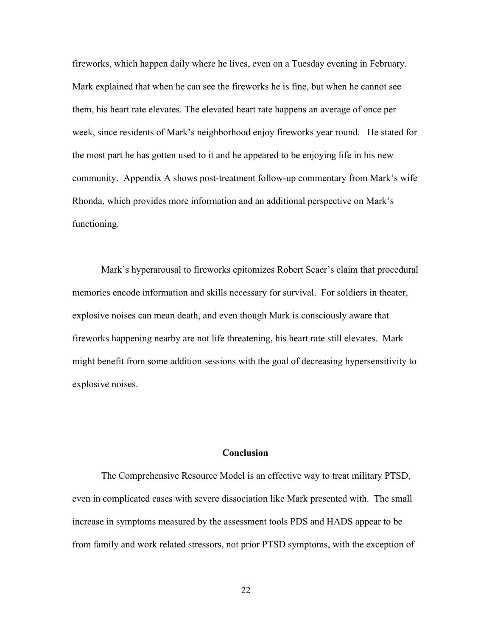fireworks, which happen daily where he lives, even on a Tuesday evening in February. Mark explained that when he can see the fireworks he is fine, but when he cannot see them, his heart rate elevates. The elevated heart rate happens an average of once per week, since residents of Mark's neighborhood enjoy fireworks year round. He stated for the most part he has gotten used to it and he appeared to be enjoying life in his new community. Appendix A shows post-treatment follow-up commentary from Mark's wife Rhonda, which provides more information and an additional perspective on Mark's functioning.

Mark's hyperarousal to fireworks epitomizes Robert Scaer's claim that procedural memories encode information and skills necessary for survival. For soldiers in theater, explosive noises can mean death, and even though Mark is consciously aware that fireworks happening nearby are not life threatening, his heart rate still elevates. Mark might benefit from some addition sessions with the goal of decreasing hypersensitivity to explosive noises.

#### **Conclusion**

The Comprehensive Resource Model is an effective way to treat military PTSD, even in complicated cases with severe dissociation like Mark presented with. The small increase in symptoms measured by the assessment tools PDS and HADS appear to be from family and work related stressors, not prior PTSD symptoms, with the exception of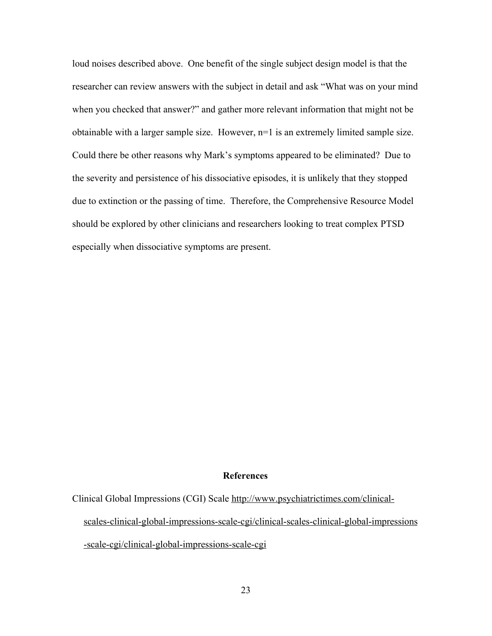loud noises described above. One benefit of the single subject design model is that the researcher can review answers with the subject in detail and ask "What was on your mind when you checked that answer?" and gather more relevant information that might not be obtainable with a larger sample size. However, n=1 is an extremely limited sample size. Could there be other reasons why Mark's symptoms appeared to be eliminated? Due to the severity and persistence of his dissociative episodes, it is unlikely that they stopped due to extinction or the passing of time. Therefore, the Comprehensive Resource Model should be explored by other clinicians and researchers looking to treat complex PTSD especially when dissociative symptoms are present.

#### **References**

Clinical Global Impressions (CGI) Scale [http://www.psychiatrictimes.com/clinical-](http://www.psychiatrictimes.com/clinical-%20%20%20%20%20%20%20%20%20%20%20%20%20%20%20%20%20scales-clinical-global-impressions-scale-cgi/clinical-scales-clinical-global-impressions-scale-cgi/clinical-global-impressions-scale-cgi)

[scales-clinical-global-impressions-scale-cgi/clinical-scales-clinical-global-impressions](http://www.psychiatrictimes.com/clinical-%20%20%20%20%20%20%20%20%20%20%20%20%20%20%20%20%20scales-clinical-global-impressions-scale-cgi/clinical-scales-clinical-global-impressions-scale-cgi/clinical-global-impressions-scale-cgi)

[-scale-cgi/clinical-global-impressions-scale-cgi](http://www.psychiatrictimes.com/clinical-%20%20%20%20%20%20%20%20%20%20%20%20%20%20%20%20%20scales-clinical-global-impressions-scale-cgi/clinical-scales-clinical-global-impressions-scale-cgi/clinical-global-impressions-scale-cgi)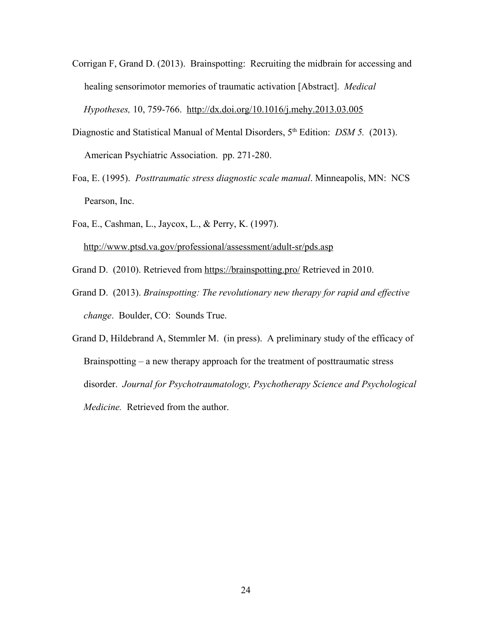Corrigan F, Grand D. (2013). Brainspotting: Recruiting the midbrain for accessing and healing sensorimotor memories of traumatic activation [Abstract]. *Medical*

*Hypotheses,* 10, 759-766. <http://dx.doi.org/10.1016/j.mehy.2013.03.005>

- Diagnostic and Statistical Manual of Mental Disorders, 5<sup>th</sup> Edition: *DSM 5.* (2013). American Psychiatric Association. pp. 271-280.
- Foa, E. (1995). *Posttraumatic stress diagnostic scale manual*. Minneapolis, MN: NCS Pearson, Inc.
- Foa, E., Cashman, L., Jaycox, L., & Perry, K. (1997). <http://www.ptsd.va.gov/professional/assessment/adult-sr/pds.asp>
- Grand D. (2010). Retrieved from<https://brainspotting.pro/>Retrieved in 2010.
- Grand D. (2013). *Brainspotting: The revolutionary new therapy for rapid and effective change*. Boulder, CO: Sounds True.
- Grand D, Hildebrand A, Stemmler M. (in press). A preliminary study of the efficacy of Brainspotting – a new therapy approach for the treatment of posttraumatic stress disorder. *Journal for Psychotraumatology, Psychotherapy Science and Psychological Medicine.* Retrieved from the author.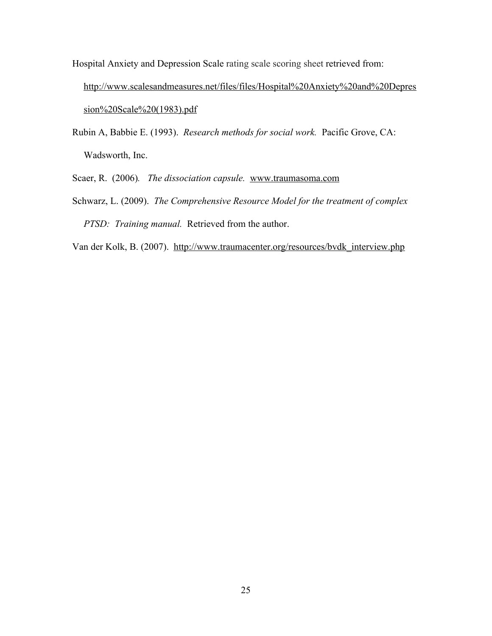- Hospital Anxiety and Depression Scale rating scale scoring sheet retrieved from: [http://www.scalesandmeasures.net/files/files/Hospital%20Anxiety%20and%20Depres](http://www.scalesandmeasures.net/files/files/Hospital%20Anxiety%20and%20Depression%20Scale%20(1983).pdf) [sion%20Scale%20\(1983\).pdf](http://www.scalesandmeasures.net/files/files/Hospital%20Anxiety%20and%20Depression%20Scale%20(1983).pdf)
- Rubin A, Babbie E. (1993). *Research methods for social work.* Pacific Grove, CA: Wadsworth, Inc.
- Scaer, R. (2006)*. The dissociation capsule.* [www.traumasoma.com](http://www.traumasoma.com/)
- Schwarz, L. (2009). *The Comprehensive Resource Model for the treatment of complex PTSD: Training manual.* Retrieved from the author.
- Van der Kolk, B. (2007). [http://www.traumacenter.org/resources/bvdk\\_interview.php](http://www.traumacenter.org/resources/bvdk_interview.php)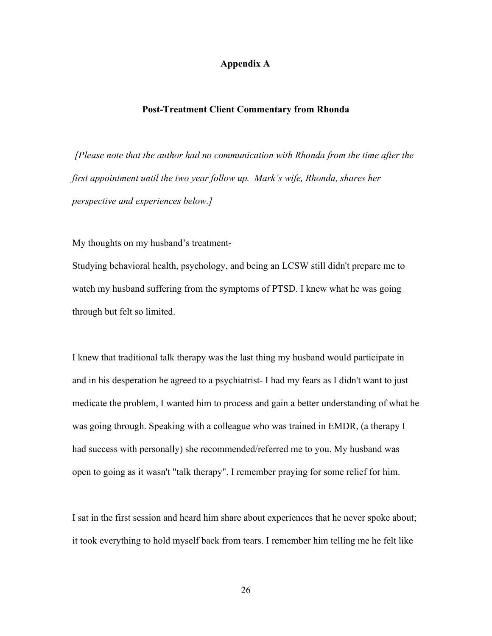## **Appendix A**

#### **Post-Treatment Client Commentary from Rhonda**

 *[Please note that the author had no communication with Rhonda from the time after the first appointment until the two year follow up. Mark's wife, Rhonda, shares her perspective and experiences below.]*

My thoughts on my husband's treatment-

Studying behavioral health, psychology, and being an LCSW still didn't prepare me to watch my husband suffering from the symptoms of PTSD. I knew what he was going through but felt so limited.

I knew that traditional talk therapy was the last thing my husband would participate in and in his desperation he agreed to a psychiatrist- I had my fears as I didn't want to just medicate the problem, I wanted him to process and gain a better understanding of what he was going through. Speaking with a colleague who was trained in EMDR, (a therapy I had success with personally) she recommended/referred me to you. My husband was open to going as it wasn't "talk therapy". I remember praying for some relief for him.

I sat in the first session and heard him share about experiences that he never spoke about; it took everything to hold myself back from tears. I remember him telling me he felt like